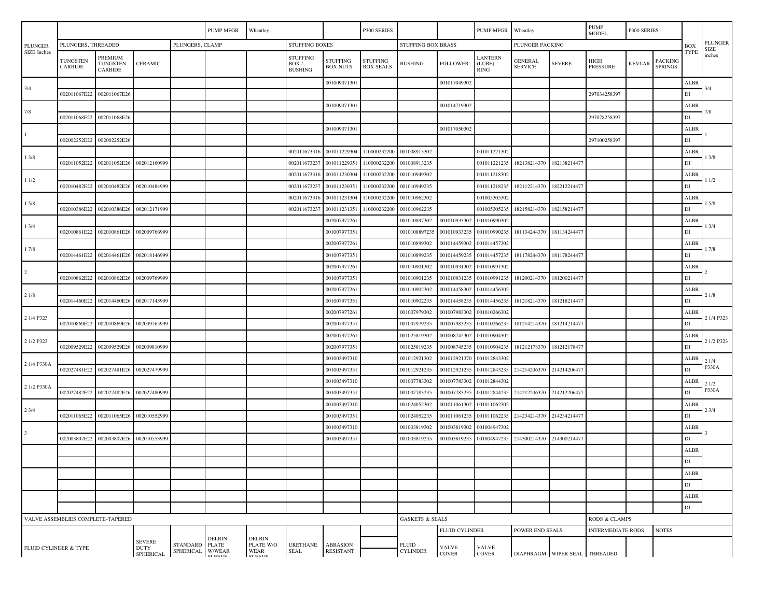|                                                                                                                                                                                                                                                         |                                   |                                       |                |  | <b>PUMP MFGR</b><br>Wheatley |  |                                     |                                    | P300 SERIES                         |                               |                                                                                       | PUMP MFGR                        | Wheatley                  |                 | <b>PUMP</b><br><b>MODEL</b> | P300 SERIES   |                                  |                                  |                               |
|---------------------------------------------------------------------------------------------------------------------------------------------------------------------------------------------------------------------------------------------------------|-----------------------------------|---------------------------------------|----------------|--|------------------------------|--|-------------------------------------|------------------------------------|-------------------------------------|-------------------------------|---------------------------------------------------------------------------------------|----------------------------------|---------------------------|-----------------|-----------------------------|---------------|----------------------------------|----------------------------------|-------------------------------|
| <b>PLUNGER</b><br>SIZE Inches                                                                                                                                                                                                                           | PLUNGERS, THREADED                |                                       |                |  | PLUNGERS, CLAMP              |  |                                     | <b>STUFFING BOXES</b>              |                                     |                               | STUFFING BOX BRASS                                                                    |                                  |                           | PLUNGER PACKING |                             |               |                                  |                                  | <b>PLUNGER</b><br><b>SIZE</b> |
|                                                                                                                                                                                                                                                         | TUNGSTEN<br><b>CARBIDE</b>        | PREMIUM<br><b>TUNGSTEN</b><br>CARBIDE | <b>CERAMIC</b> |  |                              |  | STUFFING<br>BOX /<br><b>BUSHING</b> | <b>STUFFING</b><br><b>BOX NUTS</b> | <b>STUFFING</b><br><b>BOX SEALS</b> | <b>BUSHING</b>                | <b>FOLLOWER</b>                                                                       | LANTERN<br>(LUBE)<br><b>RING</b> | GENERAL<br><b>SERVICE</b> | <b>SEVERE</b>   | HIGH<br>PRESSURE            | <b>KEVLAR</b> | <b>PACKING</b><br><b>SPRINGS</b> | TYPE                             | inches                        |
| 3/4                                                                                                                                                                                                                                                     |                                   |                                       |                |  |                              |  |                                     | 001009071301                       |                                     |                               | 001017049302                                                                          |                                  |                           |                 |                             |               |                                  | ALBR                             | 3/4                           |
|                                                                                                                                                                                                                                                         | 002011067E22                      | 002011067E26                          |                |  |                              |  |                                     |                                    |                                     |                               |                                                                                       |                                  |                           |                 | 297034258397                |               |                                  | $\mathbf{D}\mathbf{I}$           |                               |
| 7/8                                                                                                                                                                                                                                                     |                                   |                                       |                |  |                              |  |                                     | 001009071301                       |                                     |                               | 001014719302                                                                          |                                  |                           |                 |                             |               |                                  | <b>ALBR</b>                      |                               |
|                                                                                                                                                                                                                                                         | 002011068E22                      | 002011068E26                          |                |  |                              |  |                                     |                                    |                                     |                               |                                                                                       |                                  |                           |                 | 297078258397                |               |                                  | $\mathbf{D}\mathbf{I}$           |                               |
|                                                                                                                                                                                                                                                         |                                   |                                       |                |  |                              |  |                                     | 001009071301                       |                                     |                               | 001017050302                                                                          |                                  |                           |                 |                             |               |                                  | <b>ALBR</b>                      |                               |
|                                                                                                                                                                                                                                                         | 002002252E22                      | 002002252E26                          |                |  |                              |  |                                     |                                    |                                     |                               |                                                                                       |                                  |                           |                 | 297100258397                |               |                                  | $\mathbf{D}\mathbf{I}$           |                               |
| 1 3/8                                                                                                                                                                                                                                                   |                                   |                                       |                |  |                              |  | 002011673316                        | 001011229304                       | 110000232200                        | 001008913302                  |                                                                                       | 001011221302                     |                           |                 |                             |               |                                  | ALBR                             | 13/8                          |
|                                                                                                                                                                                                                                                         | 002011052E22                      | 002011052E26                          | 002012160999   |  |                              |  | 002011673237                        | 001011229351                       | 110000232200                        | 001008913235                  |                                                                                       | 001011221235                     | 182138214370              | 18213821447     |                             |               |                                  | DI                               |                               |
| 11/2                                                                                                                                                                                                                                                    |                                   |                                       |                |  |                              |  | 002011673316                        | 001011230304                       | 110000232200                        | 001010949302                  |                                                                                       | 001011218302                     |                           |                 |                             |               |                                  | <b>ALBR</b><br>$\mathop{\rm DI}$ | 1 1/2                         |
|                                                                                                                                                                                                                                                         | 002010482E22                      | 002010482E26                          | 002010484999   |  |                              |  | 002011673237<br>002011673316        | 001011230351<br>001011231304       | 110000232200<br>110000232200        | 001010949235<br>001010962302  |                                                                                       | 001011218235<br>001005305302     | 182112214370              | 182212214477    |                             |               |                                  |                                  |                               |
| 15/8                                                                                                                                                                                                                                                    | 002010386E22                      | 002010386E26                          | 002012171999   |  |                              |  | 002011673237                        | 001011231351                       | 110000232200                        | 001010962235                  |                                                                                       | 001005305235                     | 182158214370              | 182158214477    |                             |               |                                  | ALBR<br>$\mathop{\rm DI}$        | 1 5/8                         |
|                                                                                                                                                                                                                                                         |                                   |                                       |                |  |                              |  |                                     | 002007977261                       |                                     | 001010897302                  | 001010933302                                                                          | 001010990302                     |                           |                 |                             |               |                                  | <b>ALBR</b>                      |                               |
| 1 3/4                                                                                                                                                                                                                                                   | 002010861E22                      | 002010861E26                          | 002009766999   |  |                              |  |                                     | 00100797735                        |                                     | 0010108897235                 | 001010933235                                                                          | 001010990235                     | 181134244370              | 181134244477    |                             |               |                                  | DI                               | 13/4                          |
|                                                                                                                                                                                                                                                         |                                   |                                       |                |  |                              |  |                                     | 002007977261                       |                                     | 001010899302                  | 001014459302                                                                          | 001014457302                     |                           |                 |                             |               |                                  | ALBR                             |                               |
| 17/8                                                                                                                                                                                                                                                    | 002014461E22                      | 002014461E26                          | 002018146999   |  |                              |  |                                     | 001007977351                       |                                     | 001010899235                  | 001014459235                                                                          | 001014457235                     | 181178244370              | 181178244477    |                             |               |                                  | DI                               | 17/8                          |
|                                                                                                                                                                                                                                                         |                                   |                                       |                |  |                              |  |                                     | 002007977261                       |                                     | 001010901302                  | 001010931302                                                                          | 001010991302                     |                           |                 |                             |               |                                  | ALBR                             |                               |
| $\overline{c}$                                                                                                                                                                                                                                          | 002010862E22                      | 002010862E26                          | 002009769999   |  |                              |  |                                     | 00100797735                        |                                     | 001010901235                  | 001010931235                                                                          | 001010991235                     | 181200214370              | 18120021447     |                             |               |                                  | DI                               |                               |
| 21/8                                                                                                                                                                                                                                                    |                                   |                                       |                |  |                              |  |                                     | 00200797726                        |                                     | 001010902302                  | 001014458302                                                                          | 001014456302                     |                           |                 |                             |               |                                  | <b>ALBR</b>                      |                               |
|                                                                                                                                                                                                                                                         | 002014460E22                      | 002014460E26                          | 002017145999   |  |                              |  |                                     | 001007977351                       |                                     | 001010902235                  | 001014458235                                                                          | 001014456235                     | 181218214370              | 181218214477    |                             |               |                                  | $\mathop{\rm DI}$                | 21/8                          |
|                                                                                                                                                                                                                                                         |                                   |                                       |                |  |                              |  |                                     | 002007977261                       |                                     | 001007979302                  | 001007983302                                                                          | 001010266302                     |                           |                 |                             |               |                                  | <b>ALBR</b>                      |                               |
| 2 1/4 P323                                                                                                                                                                                                                                              | 002010869E22                      | 002010869E26                          | 002009765999   |  |                              |  |                                     | 002007977351                       |                                     | 001007979235                  | 001007983235                                                                          |                                  | 001010266235 181214214370 | 181214214477    |                             |               |                                  | $\mathbf{D}\mathbf{I}$           | 2 1/4 P323                    |
|                                                                                                                                                                                                                                                         |                                   |                                       |                |  |                              |  |                                     | 002007977261                       |                                     | 001025819302                  | 001008745302                                                                          | 001010904302                     |                           |                 |                             |               |                                  | <b>ALBR</b>                      |                               |
| 2 1/2 P323                                                                                                                                                                                                                                              | 002009529E22                      | 002009529E26                          | 002009810999   |  |                              |  |                                     | 002007977351                       |                                     | 001025819235                  | 001008745235                                                                          | 001010904235                     | 181212178370              | 181212178477    |                             |               |                                  | $\mathbf{D}\mathbf{I}$           | 2 1/2 P323                    |
|                                                                                                                                                                                                                                                         |                                   |                                       |                |  |                              |  |                                     | 001003497310                       |                                     | 001012921302                  | 001012921370                                                                          | 001012843302                     |                           |                 |                             |               |                                  | ALBR                             | 21/4                          |
| 2 1/4 P330A                                                                                                                                                                                                                                             | 002027481E22                      | 002027481E26                          | 002027479999   |  |                              |  |                                     | 001003497351                       |                                     | 001012921235                  | 001012921235                                                                          | 001012843235                     | 214214206370              | 214214206477    |                             |               |                                  | $\mathbf{D}\mathbf{I}$           | P330A                         |
| 2 1/2 P330A                                                                                                                                                                                                                                             |                                   |                                       |                |  |                              |  |                                     | 001003497310                       |                                     | 001007783302                  | 001007783302                                                                          | 001012844302                     |                           |                 |                             |               |                                  | ALBR                             | 21/2                          |
|                                                                                                                                                                                                                                                         | 002027482E22                      | 002027482E26                          | 002027480999   |  |                              |  |                                     | 001003497351                       |                                     | 001007783235                  | 001007783235                                                                          | 001012844235                     | 214212206370              | 21421220647     |                             |               |                                  | DI                               | P330A                         |
| 23/4                                                                                                                                                                                                                                                    |                                   |                                       |                |  |                              |  |                                     | 001003497310                       |                                     | 001024052302                  | 001011061302                                                                          | 001011062302                     |                           |                 |                             |               |                                  | ALBR                             | 23/4                          |
|                                                                                                                                                                                                                                                         | 002011065E22                      | 002011065E26                          | 002010552999   |  |                              |  |                                     | 001003497351                       |                                     | 001024052235                  | 001011061235                                                                          |                                  | 001011062235 214234214370 | 214234214477    |                             |               |                                  | $\mathop{\rm DI}$                |                               |
|                                                                                                                                                                                                                                                         |                                   |                                       |                |  |                              |  |                                     | 001003497310                       |                                     | 001003819302                  | 001003819302                                                                          | 001004947302                     |                           |                 |                             |               |                                  | ALBR                             |                               |
|                                                                                                                                                                                                                                                         | 002003807E22                      | 002003807E26                          | 002010553999   |  |                              |  |                                     | 001003497351                       |                                     | 001003819235                  | 001003819235                                                                          |                                  | 001004947235 214300214370 | 214300214477    |                             |               |                                  | DI                               |                               |
|                                                                                                                                                                                                                                                         |                                   |                                       |                |  |                              |  |                                     |                                    |                                     |                               |                                                                                       |                                  |                           |                 |                             |               |                                  | ALBR                             |                               |
|                                                                                                                                                                                                                                                         |                                   |                                       |                |  |                              |  |                                     |                                    |                                     |                               |                                                                                       |                                  |                           |                 |                             |               |                                  | $\mathop{\rm DI}$                |                               |
|                                                                                                                                                                                                                                                         |                                   |                                       |                |  |                              |  |                                     |                                    |                                     |                               |                                                                                       |                                  |                           |                 |                             |               |                                  | ALBR                             |                               |
|                                                                                                                                                                                                                                                         |                                   |                                       |                |  |                              |  |                                     |                                    |                                     |                               |                                                                                       |                                  |                           |                 |                             |               |                                  | $\mathbf{D}\mathbf{I}$           |                               |
|                                                                                                                                                                                                                                                         |                                   |                                       |                |  |                              |  |                                     |                                    |                                     |                               |                                                                                       |                                  |                           |                 |                             |               |                                  | ${\bf ALBR}$                     |                               |
|                                                                                                                                                                                                                                                         |                                   |                                       |                |  |                              |  |                                     |                                    |                                     | <b>GASKETS &amp; SEALS</b>    |                                                                                       |                                  |                           |                 |                             |               |                                  | $\mathbf{D}\mathbf{I}$           |                               |
|                                                                                                                                                                                                                                                         | VALVE ASSEMBLIES COMPLETE-TAPERED |                                       |                |  |                              |  |                                     |                                    |                                     |                               | RODS & CLAMPS<br><b>FLUID CYLINDER</b><br>POWER END SEALS<br><b>INTERMEDIATE RODS</b> |                                  |                           |                 |                             | <b>NOTES</b>  |                                  |                                  |                               |
| <b>DELRIN</b><br><b>DELRIN</b><br><b>SEVERE</b><br>STANDARD PLATE<br>PLATE W/O<br>URETHANE<br><b>ABRASION</b><br><b>DUTY</b><br>FLUID CYLINDER & TYPE<br>SPHERICAL W/WEAR<br>RESISTANT<br>WEAR<br>SEAL<br>SPHERICAL<br><b>CI EEVE</b><br><b>CI EEVE</b> |                                   |                                       |                |  |                              |  | <b>FLUID</b><br><b>CYLINDER</b>     | <b>VALVE</b><br><b>COVER</b>       | <b>VALVE</b><br><b>COVER</b>        | DIAPHRAGM WIPER SEAL THREADED |                                                                                       |                                  |                           |                 |                             |               |                                  |                                  |                               |